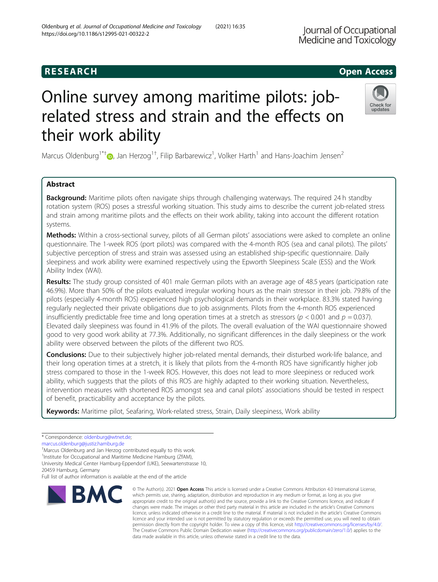## **RESEARCH CHE Open Access**

# Online survey among maritime pilots: jobrelated stress and strain and the effects on their work ability

Marcus Oldenburg<sup>1\*[†](http://orcid.org/0000-0002-3942-8886)</sup> (**b**, Jan Herzog<sup>1†</sup>, Filip Barbarewicz<sup>1</sup>, Volker Harth<sup>1</sup> and Hans-Joachim Jensen<sup>2</sup>

## Abstract

**Background:** Maritime pilots often navigate ships through challenging waterways. The required 24 h standby rotation system (ROS) poses a stressful working situation. This study aims to describe the current job-related stress and strain among maritime pilots and the effects on their work ability, taking into account the different rotation systems.

Methods: Within a cross-sectional survey, pilots of all German pilots' associations were asked to complete an online questionnaire. The 1-week ROS (port pilots) was compared with the 4-month ROS (sea and canal pilots). The pilots' subjective perception of stress and strain was assessed using an established ship-specific questionnaire. Daily sleepiness and work ability were examined respectively using the Epworth Sleepiness Scale (ESS) and the Work Ability Index (WAI).

Results: The study group consisted of 401 male German pilots with an average age of 48.5 years (participation rate 46.9%). More than 50% of the pilots evaluated irregular working hours as the main stressor in their job. 79.8% of the pilots (especially 4-month ROS) experienced high psychological demands in their workplace. 83.3% stated having regularly neglected their private obligations due to job assignments. Pilots from the 4-month ROS experienced insufficiently predictable free time and long operation times at a stretch as stressors ( $p < 0.001$  and  $p = 0.037$ ). Elevated daily sleepiness was found in 41.9% of the pilots. The overall evaluation of the WAI questionnaire showed good to very good work ability at 77.3%. Additionally, no significant differences in the daily sleepiness or the work ability were observed between the pilots of the different two ROS.

Conclusions: Due to their subjectively higher job-related mental demands, their disturbed work-life balance, and their long operation times at a stretch, it is likely that pilots from the 4-month ROS have significantly higher job stress compared to those in the 1-week ROS. However, this does not lead to more sleepiness or reduced work ability, which suggests that the pilots of this ROS are highly adapted to their working situation. Nevertheless, intervention measures with shortened ROS amongst sea and canal pilots' associations should be tested in respect of benefit, practicability and acceptance by the pilots.

Keywords: Maritime pilot, Seafaring, Work-related stress, Strain, Daily sleepiness, Work ability

† Marcus Oldenburg and Jan Herzog contributed equally to this work.

Full list of author information is available at the end of the article

**BMC** 

#### © The Author(s), 2021 **Open Access** This article is licensed under a Creative Commons Attribution 4.0 International License, which permits use, sharing, adaptation, distribution and reproduction in any medium or format, as long as you give appropriate credit to the original author(s) and the source, provide a link to the Creative Commons licence, and indicate if changes were made. The images or other third party material in this article are included in the article's Creative Commons licence, unless indicated otherwise in a credit line to the material. If material is not included in the article's Creative Commons licence and your intended use is not permitted by statutory regulation or exceeds the permitted use, you will need to obtain permission directly from the copyright holder. To view a copy of this licence, visit [http://creativecommons.org/licenses/by/4.0/.](http://creativecommons.org/licenses/by/4.0/) The Creative Commons Public Domain Dedication waiver [\(http://creativecommons.org/publicdomain/zero/1.0/](http://creativecommons.org/publicdomain/zero/1.0/)) applies to the data made available in this article, unless otherwise stated in a credit line to the data.





<sup>\*</sup> Correspondence: [oldenburg@wtnet.de;](mailto:oldenburg@wtnet.de)

[marcus.oldenburg@justiz.hamburg.de](mailto:marcus.oldenburg@justiz.hamburg.de)

<sup>&</sup>lt;sup>1</sup>Institute for Occupational and Maritime Medicine Hamburg (ZfAM),

University Medical Center Hamburg-Eppendorf (UKE), Seewartenstrasse 10, 20459 Hamburg, Germany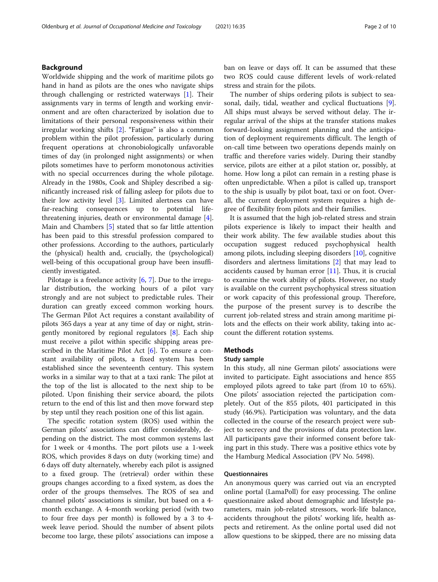## Background

Worldwide shipping and the work of maritime pilots go hand in hand as pilots are the ones who navigate ships through challenging or restricted waterways [[1\]](#page-9-0). Their assignments vary in terms of length and working environment and are often characterized by isolation due to limitations of their personal responsiveness within their irregular working shifts [\[2](#page-9-0)]. "Fatigue" is also a common problem within the pilot profession, particularly during frequent operations at chronobiologically unfavorable times of day (in prolonged night assignments) or when pilots sometimes have to perform monotonous activities with no special occurrences during the whole pilotage. Already in the 1980s, Cook and Shipley described a significantly increased risk of falling asleep for pilots due to their low activity level [[3\]](#page-9-0). Limited alertness can have far-reaching consequences up to potential lifethreatening injuries, death or environmental damage [\[4](#page-9-0)]. Main and Chambers [[5\]](#page-9-0) stated that so far little attention has been paid to this stressful profession compared to other professions. According to the authors, particularly the (physical) health and, crucially, the (psychological) well-being of this occupational group have been insufficiently investigated.

Pilotage is a freelance activity [[6,](#page-9-0) [7\]](#page-9-0). Due to the irregular distribution, the working hours of a pilot vary strongly and are not subject to predictable rules. Their duration can greatly exceed common working hours. The German Pilot Act requires a constant availability of pilots 365 days a year at any time of day or night, stringently monitored by regional regulators [\[8](#page-9-0)]. Each ship must receive a pilot within specific shipping areas prescribed in the Maritime Pilot Act  $[6]$  $[6]$ . To ensure a constant availability of pilots, a fixed system has been established since the seventeenth century. This system works in a similar way to that at a taxi rank: The pilot at the top of the list is allocated to the next ship to be piloted. Upon finishing their service aboard, the pilots return to the end of this list and then move forward step by step until they reach position one of this list again.

The specific rotation system (ROS) used within the German pilots' associations can differ considerably, depending on the district. The most common systems last for 1 week or 4 months. The port pilots use a 1-week ROS, which provides 8 days on duty (working time) and 6 days off duty alternately, whereby each pilot is assigned to a fixed group. The (retrieval) order within these groups changes according to a fixed system, as does the order of the groups themselves. The ROS of sea and channel pilots' associations is similar, but based on a 4 month exchange. A 4-month working period (with two to four free days per month) is followed by a 3 to 4 week leave period. Should the number of absent pilots become too large, these pilots' associations can impose a ban on leave or days off. It can be assumed that these two ROS could cause different levels of work-related stress and strain for the pilots.

The number of ships ordering pilots is subject to seasonal, daily, tidal, weather and cyclical fluctuations [\[9](#page-9-0)]. All ships must always be served without delay. The irregular arrival of the ships at the transfer stations makes forward-looking assignment planning and the anticipation of deployment requirements difficult. The length of on-call time between two operations depends mainly on traffic and therefore varies widely. During their standby service, pilots are either at a pilot station or, possibly, at home. How long a pilot can remain in a resting phase is often unpredictable. When a pilot is called up, transport to the ship is usually by pilot boat, taxi or on foot. Overall, the current deployment system requires a high degree of flexibility from pilots and their families.

It is assumed that the high job-related stress and strain pilots experience is likely to impact their health and their work ability. The few available studies about this occupation suggest reduced psychophysical health among pilots, including sleeping disorders [[10](#page-9-0)], cognitive disorders and alertness limitations [\[2\]](#page-9-0) that may lead to accidents caused by human error  $[11]$ . Thus, it is crucial to examine the work ability of pilots. However, no study is available on the current psychophysical stress situation or work capacity of this professional group. Therefore, the purpose of the present survey is to describe the current job-related stress and strain among maritime pilots and the effects on their work ability, taking into account the different rotation systems.

## Methods

#### Study sample

In this study, all nine German pilots' associations were invited to participate. Eight associations and hence 855 employed pilots agreed to take part (from 10 to 65%). One pilots' association rejected the participation completely. Out of the 855 pilots, 401 participated in this study (46.9%). Participation was voluntary, and the data collected in the course of the research project were subject to secrecy and the provisions of data protection law. All participants gave their informed consent before taking part in this study. There was a positive ethics vote by the Hamburg Medical Association (PV No. 5498).

#### Questionnaires

An anonymous query was carried out via an encrypted online portal (LamaPoll) for easy processing. The online questionnaire asked about demographic and lifestyle parameters, main job-related stressors, work-life balance, accidents throughout the pilots' working life, health aspects and retirement. As the online portal used did not allow questions to be skipped, there are no missing data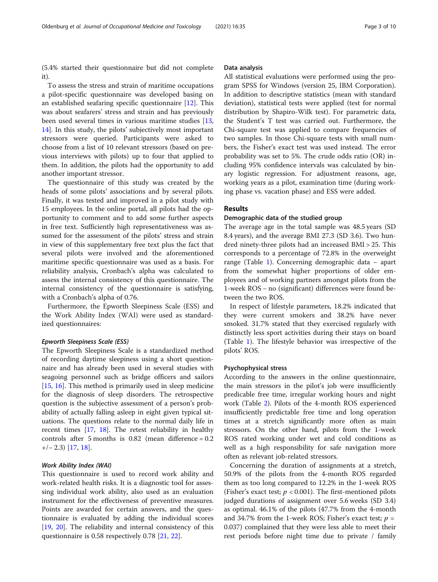(5.4% started their questionnaire but did not complete it).

To assess the stress and strain of maritime occupations a pilot-specific questionnaire was developed basing on an established seafaring specific questionnaire [[12\]](#page-9-0). This was about seafarers' stress and strain and has previously been used several times in various maritime studies [[13](#page-9-0), [14\]](#page-9-0). In this study, the pilots' subjectively most important stressors were queried. Participants were asked to choose from a list of 10 relevant stressors (based on previous interviews with pilots) up to four that applied to them. In addition, the pilots had the opportunity to add another important stressor.

The questionnaire of this study was created by the heads of some pilots' associations and by several pilots. Finally, it was tested and improved in a pilot study with 15 employees. In the online portal, all pilots had the opportunity to comment and to add some further aspects in free text. Sufficiently high representativeness was assumed for the assessment of the pilots' stress and strain in view of this supplementary free text plus the fact that several pilots were involved and the aforementioned maritime specific questionnaire was used as a basis. For reliability analysis, Cronbach's alpha was calculated to assess the internal consistency of this questionnaire. The internal consistency of the questionnaire is satisfying, with a Cronbach's alpha of 0.76.

Furthermore, the Epworth Sleepiness Scale (ESS) and the Work Ability Index (WAI) were used as standardized questionnaires:

#### Epworth Sleepiness Scale (ESS)

The Epworth Sleepiness Scale is a standardized method of recording daytime sleepiness using a short questionnaire and has already been used in several studies with seagoing personnel such as bridge officers and sailors [[15,](#page-9-0) [16\]](#page-9-0). This method is primarily used in sleep medicine for the diagnosis of sleep disorders. The retrospective question is the subjective assessment of a person's probability of actually falling asleep in eight given typical situations. The questions relate to the normal daily life in recent times [[17,](#page-9-0) [18\]](#page-9-0). The retest reliability in healthy controls after 5 months is 0.82 (mean difference = 0.2 +/− 2.3) [[17,](#page-9-0) [18\]](#page-9-0).

## Work Ability Index (WAI)

This questionnaire is used to record work ability and work-related health risks. It is a diagnostic tool for assessing individual work ability, also used as an evaluation instrument for the effectiveness of preventive measures. Points are awarded for certain answers, and the questionnaire is evaluated by adding the individual scores [[19,](#page-9-0) [20\]](#page-9-0). The reliability and internal consistency of this questionnaire is 0.58 respectively 0.78 [[21](#page-9-0), [22](#page-9-0)].

## Data analysis

All statistical evaluations were performed using the program SPSS for Windows (version 25, IBM Corporation). In addition to descriptive statistics (mean with standard deviation), statistical tests were applied (test for normal distribution by Shapiro-Wilk test). For parametric data, the Student's T test was carried out. Furthermore, the Chi-square test was applied to compare frequencies of two samples. In those Chi-square tests with small numbers, the Fisher's exact test was used instead. The error probability was set to 5%. The crude odds ratio (OR) including 95% confidence intervals was calculated by binary logistic regression. For adjustment reasons, age, working years as a pilot, examination time (during working phase vs. vacation phase) and ESS were added.

## Results

## Demographic data of the studied group

The average age in the total sample was 48.5 years (SD 8.4 years), and the average BMI 27.3 (SD 3.6). Two hundred ninety-three pilots had an increased BMI > 25. This corresponds to a percentage of 72.8% in the overweight range (Table [1](#page-3-0)). Concerning demographic data − apart from the somewhat higher proportions of older employees and of working partners amongst pilots from the 1-week ROS − no (significant) differences were found between the two ROS.

In respect of lifestyle parameters, 18.2% indicated that they were current smokers and 38.2% have never smoked. 31.7% stated that they exercised regularly with distinctly less sport activities during their stays on board (Table [1\)](#page-3-0). The lifestyle behavior was irrespective of the pilots' ROS.

### Psychophysical stress

According to the answers in the online questionnaire, the main stressors in the pilot's job were insufficiently predicable free time, irregular working hours and night work (Table [2\)](#page-3-0). Pilots of the 4-month ROS experienced insufficiently predictable free time and long operation times at a stretch significantly more often as main stressors. On the other hand, pilots from the 1-week ROS rated working under wet and cold conditions as well as a high responsibility for safe navigation more often as relevant job-related stressors.

Concerning the duration of assignments at a stretch, 50.9% of the pilots from the 4-month ROS regarded them as too long compared to 12.2% in the 1-week ROS (Fisher's exact test;  $p < 0.001$ ). The first-mentioned pilots judged durations of assignment over 5.6 weeks (SD 3.4) as optimal. 46.1% of the pilots (47.7% from the 4-month and 34.7% from the 1-week ROS; Fisher's exact test;  $p =$ 0.037) complained that they were less able to meet their rest periods before night time due to private / family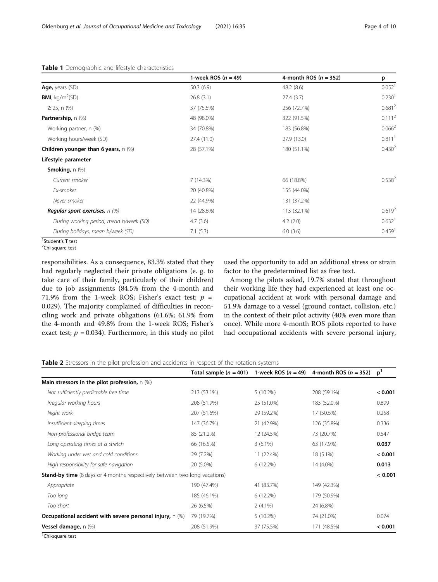|                                         | 1-week ROS $(n = 49)$ | 4-month ROS ( $n = 352$ ) | p                    |
|-----------------------------------------|-----------------------|---------------------------|----------------------|
| Age, years (SD)                         | 50.3(6.9)             | 48.2(8.6)                 | 0.052 <sup>1</sup>   |
| <b>BMI</b> , kg/m <sup>2</sup> (SD)     | 26.8(3.1)             | 27.4(3.7)                 | 0.230 <sup>1</sup>   |
| $\geq$ 25, n (%)                        | 37 (75.5%)            | 256 (72.7%)               | 0.681 <sup>2</sup>   |
| Partnership, n (%)                      | 48 (98.0%)            | 322 (91.5%)               | $0.111^{2}$          |
| Working partner, n (%)                  | 34 (70.8%)            | 183 (56.8%)               | $0.066^2$            |
| Working hours/week (SD)                 | 27.4 (11.0)           | 27.9(13.0)                | 0.811 <sup>1</sup>   |
| Children younger than 6 years, $n$ (%)  | 28 (57.1%)            | 180 (51.1%)               | 0.430 <sup>2</sup>   |
| Lifestyle parameter                     |                       |                           |                      |
| <b>Smoking, <math>n</math> (%)</b>      |                       |                           |                      |
| Current smoker                          | 7(14.3%)              | 66 (18.8%)                | $0.538^{2}$          |
| Ex-smoker                               | 20 (40.8%)            | 155 (44.0%)               |                      |
| Never smoker                            | 22 (44.9%)            | 131 (37.2%)               |                      |
| <b>Reqular sport exercises,</b> $n$ (%) | 14 (28.6%)            | 113 (32.1%)               | 0.619 <sup>2</sup>   |
| During working period, mean h/week (SD) | 4.7(3.6)              | 4.2(2.0)                  | 0.632 <sup>1</sup>   |
| During holidays, mean h/week (SD)       | 7.1(5.3)              | 6.0(3.6)                  | $0.459$ <sup>1</sup> |
| <sup>1</sup> Student's T test           |                       |                           |                      |

## <span id="page-3-0"></span>Table 1 Demographic and lifestyle characteristics

responsibilities. As a consequence, 83.3% stated that they had regularly neglected their private obligations (e. g. to take care of their family, particularly of their children) due to job assignments (84.5% from the 4-month and 71.9% from the 1-week ROS; Fisher's exact test;  $p =$ 0.029). The majority complained of difficulties in reconciling work and private obligations (61.6%; 61.9% from the 4-month and 49.8% from the 1-week ROS; Fisher's exact test;  $p = 0.034$ ). Furthermore, in this study no pilot used the opportunity to add an additional stress or strain factor to the predetermined list as free text.

Among the pilots asked, 19.7% stated that throughout their working life they had experienced at least one occupational accident at work with personal damage and 51.9% damage to a vessel (ground contact, collision, etc.) in the context of their pilot activity (40% even more than once). While more 4-month ROS pilots reported to have had occupational accidents with severe personal injury,

Table 2 Stressors in the pilot profession and accidents in respect of the rotation systems

|                                                                                   | Total sample $(n = 401)$ | 1-week ROS $(n = 49)$ | 4-month ROS ( $n = 352$ ) | p <sup>1</sup> |
|-----------------------------------------------------------------------------------|--------------------------|-----------------------|---------------------------|----------------|
| Main stressors in the pilot profession, $n$ (%)                                   |                          |                       |                           |                |
| Not sufficiently predictable free time                                            | 213 (53.1%)              | 5(10.2%)              | 208 (59.1%)               | < 0.001        |
| Irregular working hours                                                           | 208 (51.9%)              | 25 (51.0%)            | 183 (52.0%)               | 0.899          |
| Night work                                                                        | 207 (51.6%)              | 29 (59.2%)            | 17 (50.6%)                | 0.258          |
| Insufficient sleeping times                                                       | 147 (36.7%)              | 21 (42.9%)            | 126 (35.8%)               | 0.336          |
| Non-professional bridge team                                                      | 85 (21.2%)               | 12 (24.5%)            | 73 (20.7%)                | 0.547          |
| Long operating times at a stretch                                                 | 66 (16.5%)               | $3(6.1\%)$            | 63 (17.9%)                | 0.037          |
| Working under wet and cold conditions                                             | 29 (7.2%)                | 11 (22.4%)            | 18 (5.1%)                 | < 0.001        |
| High responsibility for safe navigation                                           | 20 (5.0%)                | 6(12.2%)              | 14 (4.0%)                 | 0.013          |
| <b>Stand-by time</b> (8 days or 4 months respectively between two long vacations) |                          |                       |                           | < 0.001        |
| Appropriate                                                                       | 190 (47.4%)              | 41 (83.7%)            | 149 (42.3%)               |                |
| Too long                                                                          | 185 (46.1%)              | 6(12.2%)              | 179 (50.9%)               |                |
| Too short                                                                         | 26 (6.5%)                | $2(4.1\%)$            | 24 (6.8%)                 |                |
| Occupational accident with severe personal injury, $n$ (%)                        | 79 (19.7%)               | $5(10.2\%)$           | 74 (21.0%)                | 0.074          |
| Vessel damage, n (%)                                                              | 208 (51.9%)              | 37 (75.5%)            | 171 (48.5%)               | < 0.001        |

<sup>1</sup>Chi-square test

<sup>&</sup>lt;sup>1</sup>Student's T test<br><sup>2</sup>Chi-square test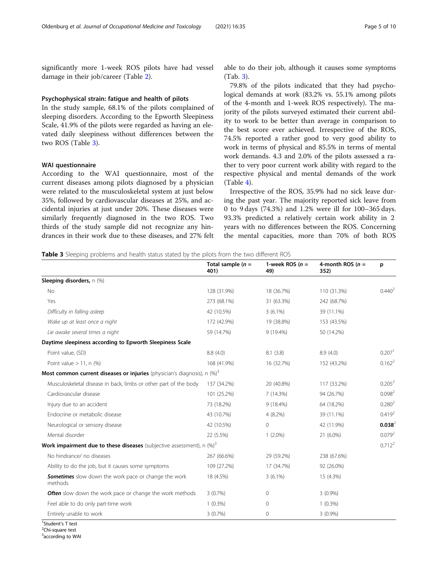significantly more 1-week ROS pilots have had vessel damage in their job/career (Table [2](#page-3-0)).

#### Psychophysical strain: fatigue and health of pilots

In the study sample, 68.1% of the pilots complained of sleeping disorders. According to the Epworth Sleepiness Scale, 41.9% of the pilots were regarded as having an elevated daily sleepiness without differences between the two ROS (Table 3).

#### WAI questionnaire

According to the WAI questionnaire, most of the current diseases among pilots diagnosed by a physician were related to the musculoskeletal system at just below 35%, followed by cardiovascular diseases at 25%, and accidental injuries at just under 20%. These diseases were similarly frequently diagnosed in the two ROS. Two thirds of the study sample did not recognize any hindrances in their work due to these diseases, and 27% felt able to do their job, although it causes some symptoms (Tab. 3).

79.8% of the pilots indicated that they had psychological demands at work (83.2% vs. 55.1% among pilots of the 4-month and 1-week ROS respectively). The majority of the pilots surveyed estimated their current ability to work to be better than average in comparison to the best score ever achieved. Irrespective of the ROS, 74.5% reported a rather good to very good ability to work in terms of physical and 85.5% in terms of mental work demands. 4.3 and 2.0% of the pilots assessed a rather to very poor current work ability with regard to the respective physical and mental demands of the work  $(Table 4)$  $(Table 4)$ .

Irrespective of the ROS, 35.9% had no sick leave during the past year. The majority reported sick leave from 0 to 9 days (74.3%) and 1.2% were ill for 100–365 days. 93.3% predicted a relatively certain work ability in 2 years with no differences between the ROS. Concerning the mental capacities, more than 70% of both ROS

**Table 3** Sleeping problems and health status stated by the pilots from the two different ROS

|                                                                                      | Total sample $(n =$<br>401) | 1-week ROS $(n =$<br>49) | 4-month ROS ( $n =$<br>352) | p                  |
|--------------------------------------------------------------------------------------|-----------------------------|--------------------------|-----------------------------|--------------------|
| Sleeping disorders, n (%)                                                            |                             |                          |                             |                    |
| No                                                                                   | 128 (31.9%)                 | 18 (36.7%)               | 110 (31.3%)                 | 0.440 <sup>2</sup> |
| Yes                                                                                  | 273 (68.1%)                 | 31 (63.3%)               | 242 (68.7%)                 |                    |
| Difficulty in falling asleep                                                         | 42 (10.5%)                  | $3(6.1\%)$               | 39 (11.1%)                  |                    |
| Wake up at least once a night                                                        | 172 (42.9%)                 | 19 (38.8%)               | 153 (43.5%)                 |                    |
| Lie awake several times a night                                                      | 59 (14.7%)                  | 9 (19.4%)                | 50 (14.2%)                  |                    |
| Daytime sleepiness according to Epworth Sleepiness Scale                             |                             |                          |                             |                    |
| Point value, (SD)                                                                    | 8.8(4.0)                    | 8.1(3.8)                 | 8.9(4.0)                    | 0.207 <sup>1</sup> |
| Point value $> 11$ , n $(%)$                                                         | 168 (41.9%)                 | 16 (32.7%)               | 152 (43.2%)                 | 0.162 <sup>2</sup> |
| Most common current diseases or injuries (physician's diagnosis), n (%) <sup>3</sup> |                             |                          |                             |                    |
| Musculoskeletal disease in back, limbs or other part of the body                     | 137 (34.2%)                 | 20 (40.8%)               | 117 (33.2%)                 | $0.205^2$          |
| Cardiovascular disease                                                               | 101 (25.2%)                 | 7 (14.3%)                | 94 (26.7%)                  | 0.098 <sup>2</sup> |
| Injury due to an accident                                                            | 73 (18.2%)                  | 9 (18.4%)                | 64 (18.2%)                  | 0.280 <sup>2</sup> |
| Endocrine or metabolic disease                                                       | 43 (10.7%)                  | $4(8.2\%)$               | 39 (11.1%)                  | 0.419 <sup>2</sup> |
| Neurological or sensory disease                                                      | 42 (10.5%)                  | 0                        | 42 (11.9%)                  | 0.038 <sup>2</sup> |
| Mental disorder                                                                      | 22 (5.5%)                   | $1(2.0\%)$               | 21 (6.0%)                   | 0.079 <sup>2</sup> |
| Work impairment due to these diseases (subjective assessment), n (%) <sup>3</sup>    |                             |                          |                             | $0.712^2$          |
| No hindrance/ no diseases                                                            | 267 (66.6%)                 | 29 (59.2%)               | 238 (67.6%)                 |                    |
| Ability to do the job, but it causes some symptoms                                   | 109 (27.2%)                 | 17 (34.7%)               | 92 (26.0%)                  |                    |
| <b>Sometimes</b> slow down the work pace or change the work<br>methods               | 18 (4.5%)                   | $3(6.1\%)$               | 15 (4.3%)                   |                    |
| <b>Often</b> slow down the work pace or change the work methods                      | 3(0.7%)                     | $\Omega$                 | $3(0.9\%)$                  |                    |
| Feel able to do only part-time work                                                  | $1(0.3\%)$                  | 0                        | $1(0.3\%)$                  |                    |
| Entirely unable to work                                                              | 3(0.7%)                     | 0                        | $3(0.9\%)$                  |                    |

<sup>1</sup>Student's T test <sup>1</sup>Student's T test<br><sup>2</sup>Chi-square test

<sup>3</sup> according to WAI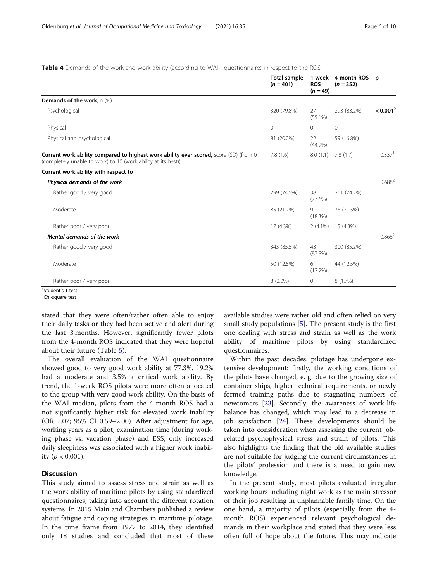<span id="page-5-0"></span>Table 4 Demands of the work and work ability (according to WAI - questionnaire) in respect to the ROS

|                                                                                                                                                        | <b>Total sample</b><br>$(n = 401)$ | 1-week<br><b>ROS</b><br>$(n = 49)$ | 4-month ROS<br>$(n = 352)$ | p                    |
|--------------------------------------------------------------------------------------------------------------------------------------------------------|------------------------------------|------------------------------------|----------------------------|----------------------|
| Demands of the work, n (%)                                                                                                                             |                                    |                                    |                            |                      |
| Psychological                                                                                                                                          | 320 (79.8%)                        | 27<br>$(55.1\%)$                   | 293 (83.2%)                | < 0.001 <sup>2</sup> |
| Physical                                                                                                                                               | $\mathbf{0}$                       | $\mathbf{0}$                       | 0                          |                      |
| Physical and psychological                                                                                                                             | 81 (20.2%)                         | 22<br>(44.9%)                      | 59 (16.8%)                 |                      |
| Current work ability compared to highest work ability ever scored, score (SD) (from 0<br>(completely unable to work) to 10 (work ability at its best)) | 7.8(1.6)                           | 8.0(1.1)                           | 7.8(1.7)                   | $0.337$ <sup>1</sup> |
| Current work ability with respect to                                                                                                                   |                                    |                                    |                            |                      |
| Physical demands of the work                                                                                                                           |                                    |                                    |                            | $0.688^{2}$          |
| Rather good / very good                                                                                                                                | 299 (74.5%)                        | 38<br>(77.6%)                      | 261 (74.2%)                |                      |
| Moderate                                                                                                                                               | 85 (21.2%)                         | 9<br>(18.3%)                       | 76 (21.5%)                 |                      |
| Rather poor / very poor                                                                                                                                | 17 (4.3%)                          | $2(4.1\%)$                         | 15 (4.3%)                  |                      |
| Mental demands of the work                                                                                                                             |                                    |                                    |                            | $0.866^2$            |
| Rather good / very good                                                                                                                                | 343 (85.5%)                        | 43<br>(87.8%)                      | 300 (85.2%)                |                      |
| Moderate                                                                                                                                               | 50 (12.5%)                         | 6<br>(12.2%)                       | 44 (12.5%)                 |                      |
| Rather poor / very poor                                                                                                                                | $8(2.0\%)$                         | $\mathbf{0}$                       | 8(1.7%)                    |                      |

<sup>1</sup>Student's T test<br><sup>2</sup>Chi squaro test

<sup>2</sup>Chi-square test

stated that they were often/rather often able to enjoy their daily tasks or they had been active and alert during the last 3 months. However, significantly fewer pilots from the 4-month ROS indicated that they were hopeful about their future (Table [5\)](#page-6-0).

The overall evaluation of the WAI questionnaire showed good to very good work ability at 77.3%. 19.2% had a moderate and 3.5% a critical work ability. By trend, the 1-week ROS pilots were more often allocated to the group with very good work ability. On the basis of the WAI median, pilots from the 4-month ROS had a not significantly higher risk for elevated work inability (OR 1.07; 95% CI 0.59–2.00). After adjustment for age, working years as a pilot, examination time (during working phase vs. vacation phase) and ESS, only increased daily sleepiness was associated with a higher work inability ( $p < 0.001$ ).

## **Discussion**

This study aimed to assess stress and strain as well as the work ability of maritime pilots by using standardized questionnaires, taking into account the different rotation systems. In 2015 Main and Chambers published a review about fatigue and coping strategies in maritime pilotage. In the time frame from 1977 to 2014, they identified only 18 studies and concluded that most of these available studies were rather old and often relied on very small study populations [[5\]](#page-9-0). The present study is the first one dealing with stress and strain as well as the work ability of maritime pilots by using standardized questionnaires.

Within the past decades, pilotage has undergone extensive development: firstly, the working conditions of the pilots have changed, e. g. due to the growing size of container ships, higher technical requirements, or newly formed training paths due to stagnating numbers of newcomers [\[23](#page-9-0)]. Secondly, the awareness of work-life balance has changed, which may lead to a decrease in job satisfaction [\[24](#page-9-0)]. These developments should be taken into consideration when assessing the current jobrelated psychophysical stress and strain of pilots. This also highlights the finding that the old available studies are not suitable for judging the current circumstances in the pilots' profession and there is a need to gain new knowledge.

In the present study, most pilots evaluated irregular working hours including night work as the main stressor of their job resulting in unplannable family time. On the one hand, a majority of pilots (especially from the 4 month ROS) experienced relevant psychological demands in their workplace and stated that they were less often full of hope about the future. This may indicate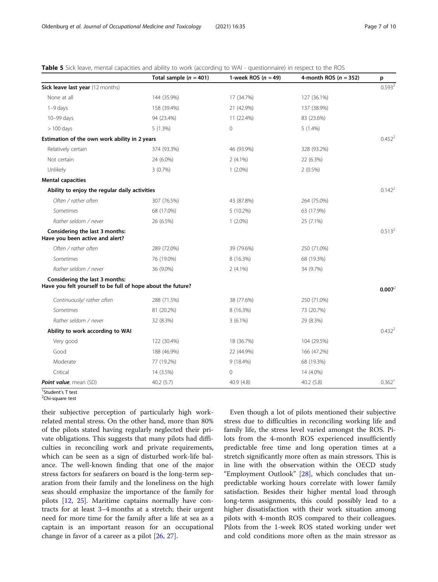<span id="page-6-0"></span>

|                                                                                               | Total sample $(n = 401)$ | 1-week ROS ( $n = 49$ ) | 4-month ROS ( $n = 352$ ) | p                  |
|-----------------------------------------------------------------------------------------------|--------------------------|-------------------------|---------------------------|--------------------|
| Sick leave last year (12 months)                                                              |                          |                         |                           | $0.593^{2}$        |
| None at all                                                                                   | 144 (35.9%)              | 17 (34.7%)              | 127 (36.1%)               |                    |
| $1-9$ days                                                                                    | 158 (39.4%)              | 21 (42.9%)              | 137 (38.9%)               |                    |
| 10-99 days                                                                                    | 94 (23.4%)               | 11 (22.4%)              | 83 (23.6%)                |                    |
| $> 100$ days                                                                                  | 5(1.3%)                  | $\mathbf 0$             | $5(1.4\%)$                |                    |
| Estimation of the own work ability in 2 years                                                 |                          |                         |                           | 0.452 <sup>2</sup> |
| Relatively certain                                                                            | 374 (93.3%)              | 46 (93.9%)              | 328 (93.2%)               |                    |
| Not certain                                                                                   | 24 (6.0%)                | $2(4.1\%)$              | 22 (6.3%)                 |                    |
| Unlikely                                                                                      | 3(0.7%)                  | $1(2.0\%)$              | $2(0.5\%)$                |                    |
| <b>Mental capacities</b>                                                                      |                          |                         |                           |                    |
| Ability to enjoy the regular daily activities                                                 |                          |                         |                           | 0.142 <sup>2</sup> |
| Often / rather often                                                                          | 307 (76.5%)              | 43 (87.8%)              | 264 (75.0%)               |                    |
| Sometimes                                                                                     | 68 (17.0%)               | 5 (10.2%)               | 63 (17.9%)                |                    |
| Rather seldom / never                                                                         | 26 (6.5%)                | $1(2.0\%)$              | 25 (7.1%)                 |                    |
| Considering the last 3 months:<br>Have you been active and alert?                             |                          |                         |                           | 0.513 <sup>2</sup> |
| Often / rather often                                                                          | 289 (72.0%)              | 39 (79.6%)              | 250 (71.0%)               |                    |
| <b>Sometimes</b>                                                                              | 76 (19.0%)               | 8 (16.3%)               | 68 (19.3%)                |                    |
| Rather seldom / never                                                                         | 36 (9.0%)                | $2(4.1\%)$              | 34 (9.7%)                 |                    |
| Considering the last 3 months:<br>Have you felt yourself to be full of hope about the future? |                          |                         |                           | 0.007 <sup>2</sup> |
| Continuously/ rather often                                                                    | 288 (71.5%)              | 38 (77.6%)              | 250 (71.0%)               |                    |
| Sometimes                                                                                     | 81 (20.2%)               | 8 (16.3%)               | 73 (20.7%)                |                    |
| Rather seldom / never                                                                         | 32 (8.3%)                | $3(6.1\%)$              | 29 (8.3%)                 |                    |
| Ability to work according to WAI                                                              |                          |                         |                           | 0.432 <sup>2</sup> |
| Very good                                                                                     | 122 (30.4%)              | 18 (36.7%)              | 104 (29.5%)               |                    |
| Good                                                                                          | 188 (46.9%)              | 22 (44.9%)              | 166 (47.2%)               |                    |
| Moderate                                                                                      | 77 (19.2%)               | 9 (18.4%)               | 68 (19.3%)                |                    |
| Critical                                                                                      | 14 (3.5%)                | $\mathbf{0}$            | 14 (4.0%)                 |                    |
| Point value, mean (SD)                                                                        | 40.2(5.7)                | 40.9 (4.8)              | 40.2(5.8)                 | 0.362 <sup>1</sup> |

<sup>1</sup>Student's T test<br><sup>2</sup>Chi squaro test

<sup>2</sup>Chi-square test

their subjective perception of particularly high workrelated mental stress. On the other hand, more than 80% of the pilots stated having regularly neglected their private obligations. This suggests that many pilots had difficulties in reconciling work and private requirements, which can be seen as a sign of disturbed work-life balance. The well-known finding that one of the major stress factors for seafarers on board is the long-term separation from their family and the loneliness on the high seas should emphasize the importance of the family for pilots [\[12](#page-9-0), [25](#page-9-0)]. Maritime captains normally have contracts for at least 3–4 months at a stretch; their urgent need for more time for the family after a life at sea as a captain is an important reason for an occupational change in favor of a career as a pilot [\[26,](#page-9-0) [27\]](#page-9-0).

Even though a lot of pilots mentioned their subjective stress due to difficulties in reconciling working life and family life, the stress level varied amongst the ROS. Pilots from the 4-month ROS experienced insufficiently predictable free time and long operation times at a stretch significantly more often as main stressors. This is in line with the observation within the OECD study "Employment Outlook" [\[28\]](#page-9-0), which concludes that unpredictable working hours correlate with lower family satisfaction. Besides their higher mental load through long-term assignments, this could possibly lead to a higher dissatisfaction with their work situation among pilots with 4-month ROS compared to their colleagues. Pilots from the 1-week ROS stated working under wet and cold conditions more often as the main stressor as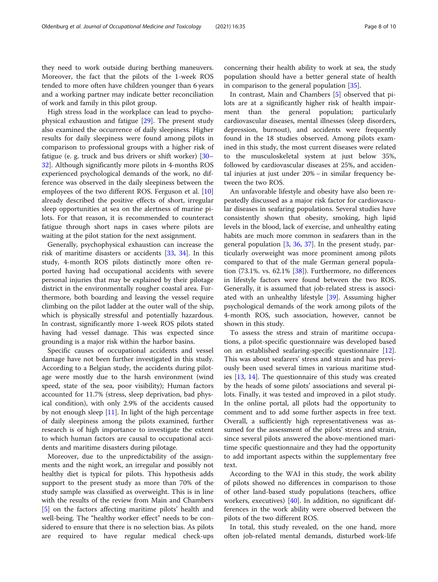High stress load in the workplace can lead to psychophysical exhaustion and fatigue [\[29](#page-9-0)]. The present study also examined the occurrence of daily sleepiness. Higher results for daily sleepiness were found among pilots in comparison to professional groups with a higher risk of fatigue (e. g. truck and bus drivers or shift worker) [[30](#page-9-0)– [32\]](#page-9-0). Although significantly more pilots in 4-months ROS experienced psychological demands of the work, no difference was observed in the daily sleepiness between the employees of the two different ROS. Ferguson et al. [[10](#page-9-0)] already described the positive effects of short, irregular sleep opportunities at sea on the alertness of marine pilots. For that reason, it is recommended to counteract fatigue through short naps in cases where pilots are waiting at the pilot station for the next assignment.

Generally, psychophysical exhaustion can increase the risk of maritime disasters or accidents [[33,](#page-9-0) [34](#page-9-0)]. In this study, 4-month ROS pilots distinctly more often reported having had occupational accidents with severe personal injuries that may be explained by their pilotage district in the environmentally rougher coastal area. Furthermore, both boarding and leaving the vessel require climbing on the pilot ladder at the outer wall of the ship, which is physically stressful and potentially hazardous. In contrast, significantly more 1-week ROS pilots stated having had vessel damage. This was expected since grounding is a major risk within the harbor basins.

Specific causes of occupational accidents and vessel damage have not been further investigated in this study. According to a Belgian study, the accidents during pilotage were mostly due to the harsh environment (wind speed, state of the sea, poor visibility); Human factors accounted for 11.7% (stress, sleep deprivation, bad physical condition), with only 2.9% of the accidents caused by not enough sleep [\[11](#page-9-0)]. In light of the high percentage of daily sleepiness among the pilots examined, further research is of high importance to investigate the extent to which human factors are causal to occupational accidents and maritime disasters during pilotage.

Moreover, due to the unpredictability of the assignments and the night work, an irregular and possibly not healthy diet is typical for pilots. This hypothesis adds support to the present study as more than 70% of the study sample was classified as overweight. This is in line with the results of the review from Main and Chambers [[5\]](#page-9-0) on the factors affecting maritime pilots' health and well-being. The "healthy worker effect" needs to be considered to ensure that there is no selection bias. As pilots are required to have regular medical check-ups

concerning their health ability to work at sea, the study population should have a better general state of health in comparison to the general population [\[35\]](#page-9-0).

In contrast, Main and Chambers [\[5\]](#page-9-0) observed that pilots are at a significantly higher risk of health impairment than the general population; particularly cardiovascular diseases, mental illnesses (sleep disorders, depression, burnout), and accidents were frequently found in the 18 studies observed. Among pilots examined in this study, the most current diseases were related to the musculoskeletal system at just below 35%, followed by cardiovascular diseases at 25%, and accidental injuries at just under 20% − in similar frequency between the two ROS.

An unfavorable lifestyle and obesity have also been repeatedly discussed as a major risk factor for cardiovascular diseases in seafaring populations. Several studies have consistently shown that obesity, smoking, high lipid levels in the blood, lack of exercise, and unhealthy eating habits are much more common in seafarers than in the general population [\[3](#page-9-0), [36,](#page-9-0) [37\]](#page-9-0). In the present study, particularly overweight was more prominent among pilots compared to that of the male German general population  $(73.1\% \text{ vs. } 62.1\% \text{ [38]})$  $(73.1\% \text{ vs. } 62.1\% \text{ [38]})$  $(73.1\% \text{ vs. } 62.1\% \text{ [38]})$ . Furthermore, no differences in lifestyle factors were found between the two ROS. Generally, it is assumed that job-related stress is associated with an unhealthy lifestyle [\[39](#page-9-0)]. Assuming higher psychological demands of the work among pilots of the 4-month ROS, such association, however, cannot be shown in this study.

To assess the stress and strain of maritime occupations, a pilot-specific questionnaire was developed based on an established seafaring-specific questionnaire [\[12](#page-9-0)]. This was about seafarers' stress and strain and has previously been used several times in various maritime studies [\[13,](#page-9-0) [14](#page-9-0)]. The questionnaire of this study was created by the heads of some pilots' associations and several pilots. Finally, it was tested and improved in a pilot study. In the online portal, all pilots had the opportunity to comment and to add some further aspects in free text. Overall, a sufficiently high representativeness was assumed for the assessment of the pilots' stress and strain, since several pilots answered the above-mentioned maritime specific questionnaire and they had the opportunity to add important aspects within the supplementary free text.

According to the WAI in this study, the work ability of pilots showed no differences in comparison to those of other land-based study populations (teachers, office workers, executives) [[40](#page-9-0)]. In addition, no significant differences in the work ability were observed between the pilots of the two different ROS.

In total, this study revealed, on the one hand, more often job-related mental demands, disturbed work-life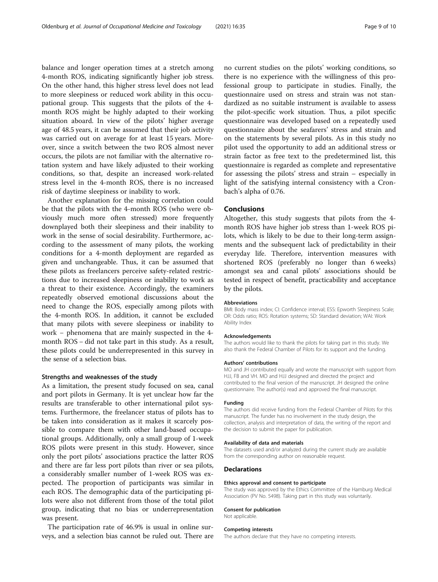balance and longer operation times at a stretch among 4-month ROS, indicating significantly higher job stress. On the other hand, this higher stress level does not lead to more sleepiness or reduced work ability in this occupational group. This suggests that the pilots of the 4 month ROS might be highly adapted to their working situation aboard. In view of the pilots' higher average age of 48.5 years, it can be assumed that their job activity was carried out on average for at least 15 years. Moreover, since a switch between the two ROS almost never occurs, the pilots are not familiar with the alternative rotation system and have likely adjusted to their working conditions, so that, despite an increased work-related stress level in the 4-month ROS, there is no increased risk of daytime sleepiness or inability to work.

Another explanation for the missing correlation could be that the pilots with the 4-month ROS (who were obviously much more often stressed) more frequently downplayed both their sleepiness and their inability to work in the sense of social desirability. Furthermore, according to the assessment of many pilots, the working conditions for a 4-month deployment are regarded as given and unchangeable. Thus, it can be assumed that these pilots as freelancers perceive safety-related restrictions due to increased sleepiness or inability to work as a threat to their existence. Accordingly, the examiners repeatedly observed emotional discussions about the need to change the ROS, especially among pilots with the 4-month ROS. In addition, it cannot be excluded that many pilots with severe sleepiness or inability to work − phenomena that are mainly suspected in the 4 month ROS − did not take part in this study. As a result, these pilots could be underrepresented in this survey in the sense of a selection bias.

## Strengths and weaknesses of the study

As a limitation, the present study focused on sea, canal and port pilots in Germany. It is yet unclear how far the results are transferable to other international pilot systems. Furthermore, the freelancer status of pilots has to be taken into consideration as it makes it scarcely possible to compare them with other land-based occupational groups. Additionally, only a small group of 1-week ROS pilots were present in this study. However, since only the port pilots' associations practice the latter ROS and there are far less port pilots than river or sea pilots, a considerably smaller number of 1-week ROS was expected. The proportion of participants was similar in each ROS. The demographic data of the participating pilots were also not different from those of the total pilot group, indicating that no bias or underrepresentation was present.

The participation rate of 46.9% is usual in online surveys, and a selection bias cannot be ruled out. There are no current studies on the pilots' working conditions, so there is no experience with the willingness of this professional group to participate in studies. Finally, the questionnaire used on stress and strain was not standardized as no suitable instrument is available to assess the pilot-specific work situation. Thus, a pilot specific questionnaire was developed based on a repeatedly used questionnaire about the seafarers' stress and strain and on the statements by several pilots. As in this study no pilot used the opportunity to add an additional stress or strain factor as free text to the predetermined list, this questionnaire is regarded as complete and representative for assessing the pilots' stress and strain – especially in light of the satisfying internal consistency with a Cronbach's alpha of 0.76.

## Conclusions

Altogether, this study suggests that pilots from the 4 month ROS have higher job stress than 1-week ROS pilots, which is likely to be due to their long-term assignments and the subsequent lack of predictability in their everyday life. Therefore, intervention measures with shortened ROS (preferably no longer than 6 weeks) amongst sea and canal pilots' associations should be tested in respect of benefit, practicability and acceptance by the pilots.

#### Abbreviations

BMI: Body mass index; CI: Confidence interval; ESS: Epworth Sleepiness Scale; OR: Odds ratio; ROS: Rotation systems; SD: Standard deviation; WAI: Work Ability Index

#### Acknowledgements

The authors would like to thank the pilots for taking part in this study. We also thank the Federal Chamber of Pilots for its support and the funding.

#### Authors' contributions

MO and JH contributed equally and wrote the manuscript with support from HJJ, FB and VH. MO and HJJ designed and directed the project and contributed to the final version of the manuscript. JH designed the online questionnaire. The author(s) read and approved the final manuscript.

#### Funding

The authors did receive funding from the Federal Chamber of Pilots for this manuscript. The funder has no involvement in the study design, the collection, analysis and interpretation of data, the writing of the report and the decision to submit the paper for publication.

#### Availability of data and materials

The datasets used and/or analyzed during the current study are available from the corresponding author on reasonable request.

#### Declarations

#### Ethics approval and consent to participate

The study was approved by the Ethics Committee of the Hamburg Medical Association (PV No. 5498). Taking part in this study was voluntarily.

## Consent for publication Not applicable.

#### Competing interests

The authors declare that they have no competing interests.